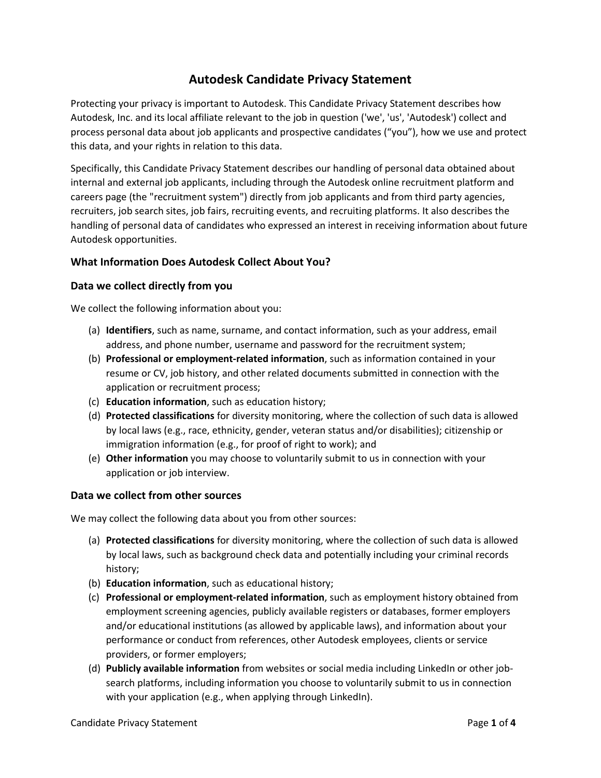# **Autodesk Candidate Privacy Statement**

Protecting your privacy is important to Autodesk. This Candidate Privacy Statement describes how Autodesk, Inc. and its local affiliate relevant to the job in question ('we', 'us', 'Autodesk') collect and process personal data about job applicants and prospective candidates ("you"), how we use and protect this data, and your rights in relation to this data.

Specifically, this Candidate Privacy Statement describes our handling of personal data obtained about internal and external job applicants, including through the Autodesk online recruitment platform and careers page (the "recruitment system") directly from job applicants and from third party agencies, recruiters, job search sites, job fairs, recruiting events, and recruiting platforms. It also describes the handling of personal data of candidates who expressed an interest in receiving information about future Autodesk opportunities.

## **What Information Does Autodesk Collect About You?**

#### **Data we collect directly from you**

We collect the following information about you:

- (a) **Identifiers**, such as name, surname, and contact information, such as your address, email address, and phone number, username and password for the recruitment system;
- (b) **Professional or employment-related information**, such as information contained in your resume or CV, job history, and other related documents submitted in connection with the application or recruitment process;
- (c) **Education information**, such as education history;
- (d) **Protected classifications** for diversity monitoring, where the collection of such data is allowed by local laws (e.g., race, ethnicity, gender, veteran status and/or disabilities); citizenship or immigration information (e.g., for proof of right to work); and
- (e) **Other information** you may choose to voluntarily submit to us in connection with your application or job interview.

#### **Data we collect from other sources**

We may collect the following data about you from other sources:

- (a) **Protected classifications** for diversity monitoring, where the collection of such data is allowed by local laws, such as background check data and potentially including your criminal records history;
- (b) **Education information**, such as educational history;
- (c) **Professional or employment-related information**, such as employment history obtained from employment screening agencies, publicly available registers or databases, former employers and/or educational institutions (as allowed by applicable laws), and information about your performance or conduct from references, other Autodesk employees, clients or service providers, or former employers;
- (d) **Publicly available information** from websites or social media including LinkedIn or other jobsearch platforms, including information you choose to voluntarily submit to us in connection with your application (e.g., when applying through LinkedIn).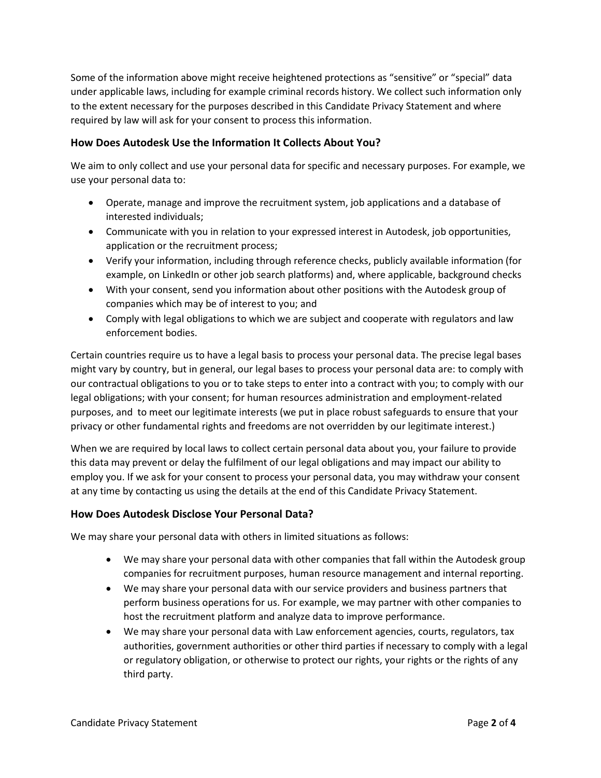Some of the information above might receive heightened protections as "sensitive" or "special" data under applicable laws, including for example criminal records history. We collect such information only to the extent necessary for the purposes described in this Candidate Privacy Statement and where required by law will ask for your consent to process this information.

## **How Does Autodesk Use the Information It Collects About You?**

We aim to only collect and use your personal data for specific and necessary purposes. For example, we use your personal data to:

- Operate, manage and improve the recruitment system, job applications and a database of interested individuals;
- Communicate with you in relation to your expressed interest in Autodesk, job opportunities, application or the recruitment process;
- Verify your information, including through reference checks, publicly available information (for example, on LinkedIn or other job search platforms) and, where applicable, background checks
- With your consent, send you information about other positions with the Autodesk group of companies which may be of interest to you; and
- Comply with legal obligations to which we are subject and cooperate with regulators and law enforcement bodies.

Certain countries require us to have a legal basis to process your personal data. The precise legal bases might vary by country, but in general, our legal bases to process your personal data are: to comply with our contractual obligations to you or to take steps to enter into a contract with you; to comply with our legal obligations; with your consent; for human resources administration and employment-related purposes, and to meet our legitimate interests (we put in place robust safeguards to ensure that your privacy or other fundamental rights and freedoms are not overridden by our legitimate interest.)

When we are required by local laws to collect certain personal data about you, your failure to provide this data may prevent or delay the fulfilment of our legal obligations and may impact our ability to employ you. If we ask for your consent to process your personal data, you may withdraw your consent at any time by contacting us using the details at the end of this Candidate Privacy Statement.

#### **How Does Autodesk Disclose Your Personal Data?**

We may share your personal data with others in limited situations as follows:

- We may share your personal data with other companies that fall within the Autodesk group companies for recruitment purposes, human resource management and internal reporting.
- We may share your personal data with our service providers and business partners that perform business operations for us. For example, we may partner with other companies to host the recruitment platform and analyze data to improve performance.
- We may share your personal data with Law enforcement agencies, courts, regulators, tax authorities, government authorities or other third parties if necessary to comply with a legal or regulatory obligation, or otherwise to protect our rights, your rights or the rights of any third party.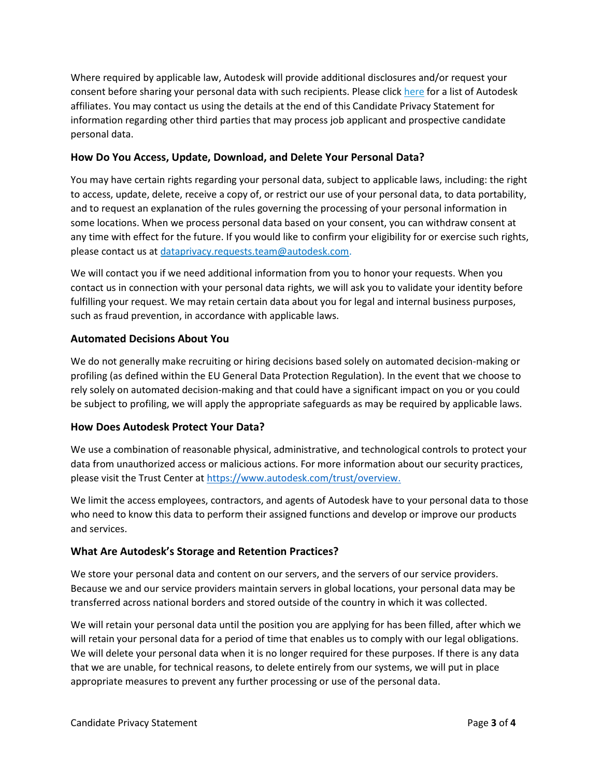Where required by applicable law, Autodesk will provide additional disclosures and/or request your consent before sharing your personal data with such recipients. Please clic[k here](https://www.autodesk.com/company/contact-us/office-locations) for a list of Autodesk affiliates. You may contact us using the details at the end of this Candidate Privacy Statement for information regarding other third parties that may process job applicant and prospective candidate personal data.

# **How Do You Access, Update, Download, and Delete Your Personal Data?**

You may have certain rights regarding your personal data, subject to applicable laws, including: the right to access, update, delete, receive a copy of, or restrict our use of your personal data, to data portability, and to request an explanation of the rules governing the processing of your personal information in some locations. When we process personal data based on your consent, you can withdraw consent at any time with effect for the future. If you would like to confirm your eligibility for or exercise such rights, please contact us at [dataprivacy.requests.team@autodesk.com.](mailto:dataprivacy.requests.team@autodesk.com)

We will contact you if we need additional information from you to honor your requests. When you contact us in connection with your personal data rights, we will ask you to validate your identity before fulfilling your request. We may retain certain data about you for legal and internal business purposes, such as fraud prevention, in accordance with applicable laws.

## **Automated Decisions About You**

We do not generally make recruiting or hiring decisions based solely on automated decision-making or profiling (as defined within the EU General Data Protection Regulation). In the event that we choose to rely solely on automated decision-making and that could have a significant impact on you or you could be subject to profiling, we will apply the appropriate safeguards as may be required by applicable laws.

## **How Does Autodesk Protect Your Data?**

We use a combination of reasonable physical, administrative, and technological controls to protect your data from unauthorized access or malicious actions. For more information about our security practices, please visit the Trust Center a[t https://www.autodesk.com/trust/overview.](https://www.autodesk.com/trust/overview)

We limit the access employees, contractors, and agents of Autodesk have to your personal data to those who need to know this data to perform their assigned functions and develop or improve our products and services.

## **What Are Autodesk's Storage and Retention Practices?**

We store your personal data and content on our servers, and the servers of our service providers. Because we and our service providers maintain servers in global locations, your personal data may be transferred across national borders and stored outside of the country in which it was collected.

We will retain your personal data until the position you are applying for has been filled, after which we will retain your personal data for a period of time that enables us to comply with our legal obligations. We will delete your personal data when it is no longer required for these purposes. If there is any data that we are unable, for technical reasons, to delete entirely from our systems, we will put in place appropriate measures to prevent any further processing or use of the personal data.